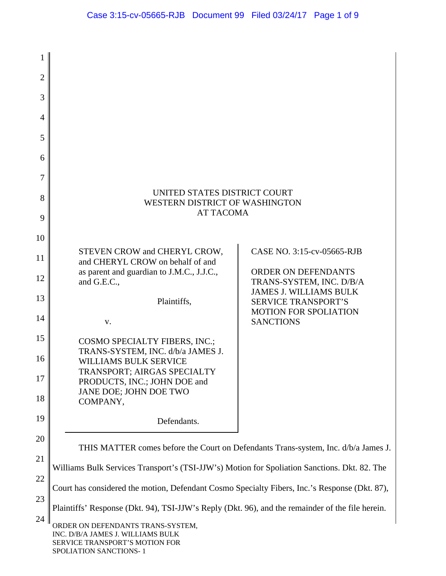| $\overline{2}$ |                                                                                                                                    |                                                                                             |  |
|----------------|------------------------------------------------------------------------------------------------------------------------------------|---------------------------------------------------------------------------------------------|--|
| 3              |                                                                                                                                    |                                                                                             |  |
| 4              |                                                                                                                                    |                                                                                             |  |
| 5              |                                                                                                                                    |                                                                                             |  |
| 6              |                                                                                                                                    |                                                                                             |  |
| 7              |                                                                                                                                    |                                                                                             |  |
| 8              | UNITED STATES DISTRICT COURT<br>WESTERN DISTRICT OF WASHINGTON                                                                     |                                                                                             |  |
| 9              | <b>AT TACOMA</b>                                                                                                                   |                                                                                             |  |
| 10             |                                                                                                                                    |                                                                                             |  |
| 11             | STEVEN CROW and CHERYL CROW,<br>and CHERYL CROW on behalf of and                                                                   | CASE NO. 3:15-cv-05665-RJB                                                                  |  |
| 12             | as parent and guardian to J.M.C., J.J.C.,<br>and G.E.C.,                                                                           | ORDER ON DEFENDANTS<br>TRANS-SYSTEM, INC. D/B/A                                             |  |
| 13             | Plaintiffs,                                                                                                                        | <b>JAMES J. WILLIAMS BULK</b><br><b>SERVICE TRANSPORT'S</b><br><b>MOTION FOR SPOLIATION</b> |  |
| 14             | V.                                                                                                                                 | <b>SANCTIONS</b>                                                                            |  |
| 15             | COSMO SPECIALTY FIBERS, INC.;<br>TRANS-SYSTEM, INC. d/b/a JAMES J.                                                                 |                                                                                             |  |
| 16             | <b>WILLIAMS BULK SERVICE</b><br>TRANSPORT; AIRGAS SPECIALTY                                                                        |                                                                                             |  |
| 17             | PRODUCTS, INC.; JOHN DOE and<br>JANE DOE; JOHN DOE TWO                                                                             |                                                                                             |  |
| 18             | COMPANY,                                                                                                                           |                                                                                             |  |
| 19             | Defendants.                                                                                                                        |                                                                                             |  |
| 20             | THIS MATTER comes before the Court on Defendants Trans-system, Inc. d/b/a James J.                                                 |                                                                                             |  |
| 21             | Williams Bulk Services Transport's (TSI-JJW's) Motion for Spoliation Sanctions. Dkt. 82. The                                       |                                                                                             |  |
| 22<br>23       | Court has considered the motion, Defendant Cosmo Specialty Fibers, Inc.'s Response (Dkt. 87),                                      |                                                                                             |  |
| 24             | Plaintiffs' Response (Dkt. 94), TSI-JJW's Reply (Dkt. 96), and the remainder of the file herein.                                   |                                                                                             |  |
|                | ORDER ON DEFENDANTS TRANS-SYSTEM,<br>INC. D/B/A JAMES J. WILLIAMS BULK<br>SERVICE TRANSPORT'S MOTION FOR<br>SPOLIATION SANCTIONS-1 |                                                                                             |  |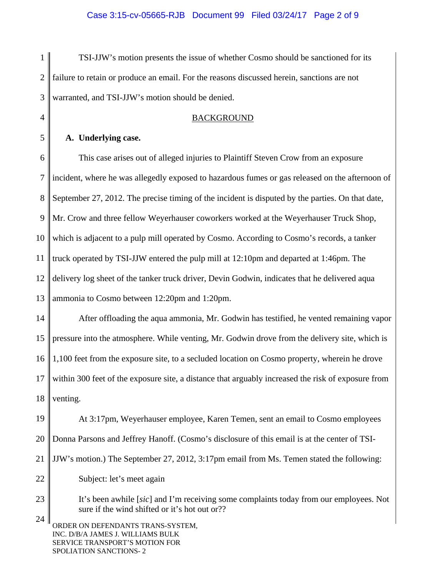1  $\mathcal{D}_{\mathcal{L}}$ 3 TSI-JJW's motion presents the issue of whether Cosmo should be sanctioned for its failure to retain or produce an email. For the reasons discussed herein, sanctions are not warranted, and TSI-JJW's motion should be denied.

# BACKGROUND

## **A. Underlying case.**

4

5

6 7 8 9 10 11 12 13 This case arises out of alleged injuries to Plaintiff Steven Crow from an exposure incident, where he was allegedly exposed to hazardous fumes or gas released on the afternoon of September 27, 2012. The precise timing of the incident is disputed by the parties. On that date, Mr. Crow and three fellow Weyerhauser coworkers worked at the Weyerhauser Truck Shop, which is adjacent to a pulp mill operated by Cosmo. According to Cosmo's records, a tanker truck operated by TSI-JJW entered the pulp mill at 12:10pm and departed at 1:46pm. The delivery log sheet of the tanker truck driver, Devin Godwin, indicates that he delivered aqua ammonia to Cosmo between 12:20pm and 1:20pm.

14 15 16 17 18 After offloading the aqua ammonia, Mr. Godwin has testified, he vented remaining vapor pressure into the atmosphere. While venting, Mr. Godwin drove from the delivery site, which is 1,100 feet from the exposure site, to a secluded location on Cosmo property, wherein he drove within 300 feet of the exposure site, a distance that arguably increased the risk of exposure from venting.

19 20 21 22 At 3:17pm, Weyerhauser employee, Karen Temen, sent an email to Cosmo employees Donna Parsons and Jeffrey Hanoff. (Cosmo's disclosure of this email is at the center of TSI-JJW's motion.) The September 27, 2012, 3:17pm email from Ms. Temen stated the following: Subject: let's meet again

23 24 It's been awhile [*sic*] and I'm receiving some complaints today from our employees. Not sure if the wind shifted or it's hot out or??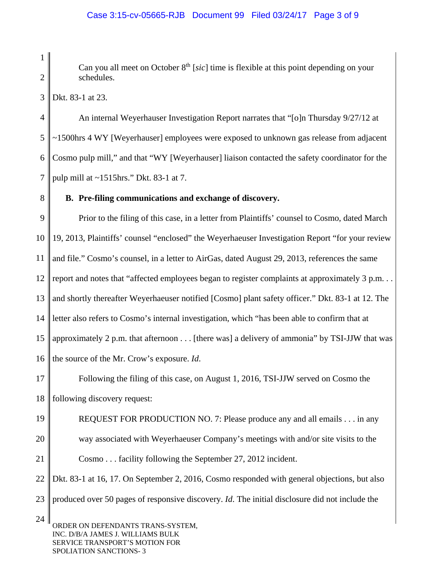Can you all meet on October 8<sup>th</sup> [*sic*] time is flexible at this point depending on your schedules.

3 Dkt. 83-1 at 23.

1

 $\mathcal{D}_{\mathcal{L}}$ 

8

4 5 6 7 An internal Weyerhauser Investigation Report narrates that "[o]n Thursday 9/27/12 at ~1500hrs 4 WY [Weyerhauser] employees were exposed to unknown gas release from adjacent Cosmo pulp mill," and that "WY [Weyerhauser] liaison contacted the safety coordinator for the pulp mill at ~1515hrs." Dkt. 83-1 at 7.

# **B. Pre-filing communications and exchange of discovery.**

9 10 11 12 13 14 15 16 Prior to the filing of this case, in a letter from Plaintiffs' counsel to Cosmo, dated March 19, 2013, Plaintiffs' counsel "enclosed" the Weyerhaeuser Investigation Report "for your review and file." Cosmo's counsel, in a letter to AirGas, dated August 29, 2013, references the same report and notes that "affected employees began to register complaints at approximately 3 p.m... and shortly thereafter Weyerhaeuser notified [Cosmo] plant safety officer." Dkt. 83-1 at 12. The letter also refers to Cosmo's internal investigation, which "has been able to confirm that at approximately 2 p.m. that afternoon . . . [there was] a delivery of ammonia" by TSI-JJW that was the source of the Mr. Crow's exposure. *Id*.

17 18 Following the filing of this case, on August 1, 2016, TSI-JJW served on Cosmo the following discovery request:

19 20 21 REQUEST FOR PRODUCTION NO. 7: Please produce any and all emails . . . in any way associated with Weyerhaeuser Company's meetings with and/or site visits to the Cosmo . . . facility following the September 27, 2012 incident.

22 23 Dkt. 83-1 at 16, 17. On September 2, 2016, Cosmo responded with general objections, but also produced over 50 pages of responsive discovery. *Id*. The initial disclosure did not include the

24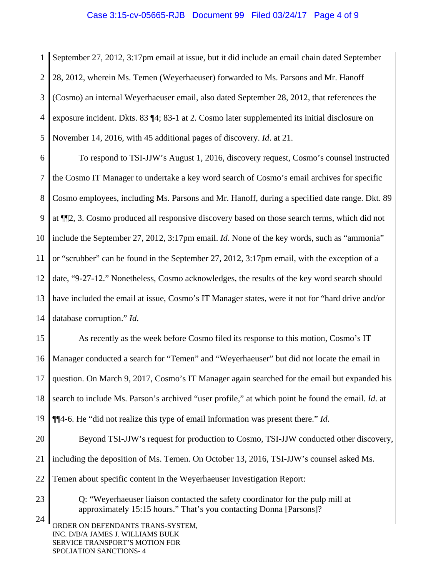#### Case 3:15-cv-05665-RJB Document 99 Filed 03/24/17 Page 4 of 9

1  $\mathcal{D}_{\mathcal{L}}$ 3 4 5 September 27, 2012, 3:17pm email at issue, but it did include an email chain dated September 28, 2012, wherein Ms. Temen (Weyerhaeuser) forwarded to Ms. Parsons and Mr. Hanoff (Cosmo) an internal Weyerhaeuser email, also dated September 28, 2012, that references the exposure incident. Dkts. 83 ¶4; 83-1 at 2. Cosmo later supplemented its initial disclosure on November 14, 2016, with 45 additional pages of discovery. *Id*. at 21.

6 7 8 9 10 11 12 13 14 To respond to TSI-JJW's August 1, 2016, discovery request, Cosmo's counsel instructed the Cosmo IT Manager to undertake a key word search of Cosmo's email archives for specific Cosmo employees, including Ms. Parsons and Mr. Hanoff, during a specified date range. Dkt. 89 at ¶¶2, 3. Cosmo produced all responsive discovery based on those search terms, which did not include the September 27, 2012, 3:17pm email. *Id*. None of the key words, such as "ammonia" or "scrubber" can be found in the September 27, 2012, 3:17pm email, with the exception of a date, "9-27-12." Nonetheless, Cosmo acknowledges, the results of the key word search should have included the email at issue, Cosmo's IT Manager states, were it not for "hard drive and/or database corruption." *Id*.

15 16 17 18 19 As recently as the week before Cosmo filed its response to this motion, Cosmo's IT Manager conducted a search for "Temen" and "Weyerhaeuser" but did not locate the email in question. On March 9, 2017, Cosmo's IT Manager again searched for the email but expanded his search to include Ms. Parson's archived "user profile," at which point he found the email. *Id*. at ¶¶4-6. He "did not realize this type of email information was present there." *Id*.

20 21 22 Beyond TSI-JJW's request for production to Cosmo, TSI-JJW conducted other discovery, including the deposition of Ms. Temen. On October 13, 2016, TSI-JJW's counsel asked Ms. Temen about specific content in the Weyerhaeuser Investigation Report:

Q: "Weyerhaeuser liaison contacted the safety coordinator for the pulp mill at approximately 15:15 hours." That's you contacting Donna [Parsons]?

24 ORDER ON DEFENDANTS TRANS-SYSTEM, INC. D/B/A JAMES J. WILLIAMS BULK SERVICE TRANSPORT'S MOTION FOR SPOLIATION SANCTIONS- 4

23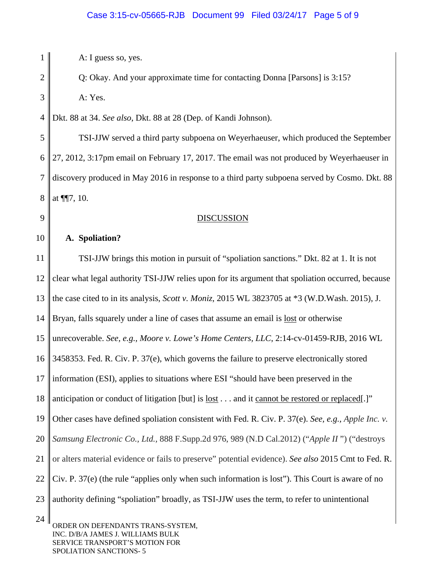A: I guess so, yes.

1

 $\mathcal{D}_{\mathcal{L}}$ 

3

9

Q: Okay. And your approximate time for contacting Donna [Parsons] is 3:15? A: Yes.

4 Dkt. 88 at 34. *See also*, Dkt. 88 at 28 (Dep. of Kandi Johnson).

5 6 7 8 TSI-JJW served a third party subpoena on Weyerhaeuser, which produced the September 27, 2012, 3:17pm email on February 17, 2017. The email was not produced by Weyerhaeuser in discovery produced in May 2016 in response to a third party subpoena served by Cosmo. Dkt. 88 at ¶¶7, 10.

## DISCUSSION

10 11 12 13 14 15 16 17 18 19 20 21 22 23 24 **A. Spoliation?**  TSI-JJW brings this motion in pursuit of "spoliation sanctions." Dkt. 82 at 1. It is not clear what legal authority TSI-JJW relies upon for its argument that spoliation occurred, because the case cited to in its analysis, *Scott v. Moniz*, 2015 WL 3823705 at \*3 (W.D.Wash. 2015), J. Bryan, falls squarely under a line of cases that assume an email is <u>lost</u> or otherwise unrecoverable. *See, e.g., Moore v. Lowe's Home Centers, LLC*, 2:14-cv-01459-RJB, 2016 WL 3458353. Fed. R. Civ. P. 37(e), which governs the failure to preserve electronically stored information (ESI), applies to situations where ESI "should have been preserved in the anticipation or conduct of litigation [but] is lost . . . and it cannot be restored or replaced[.]" Other cases have defined spoliation consistent with Fed. R. Civ. P. 37(e). *See, e.g., Apple Inc. v. Samsung Electronic Co., Ltd.,* 888 F.Supp.2d 976, 989 (N.D Cal.2012) ("*Apple II* ") ("destroys or alters material evidence or fails to preserve" potential evidence). *See also* 2015 Cmt to Fed. R. Civ. P. 37(e) (the rule "applies only when such information is lost"). This Court is aware of no authority defining "spoliation" broadly, as TSI-JJW uses the term, to refer to unintentional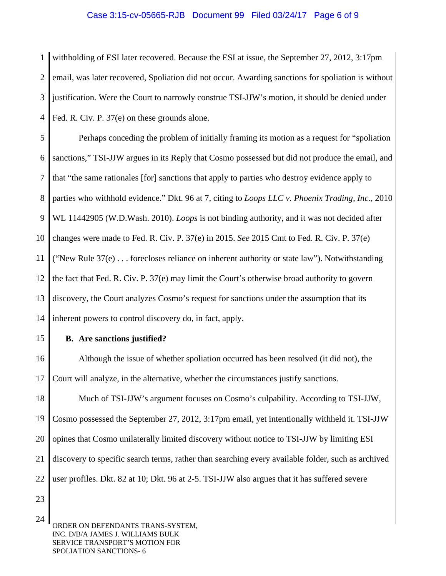#### Case 3:15-cv-05665-RJB Document 99 Filed 03/24/17 Page 6 of 9

1  $\mathcal{D}_{\mathcal{L}}$ 3 4 withholding of ESI later recovered. Because the ESI at issue, the September 27, 2012, 3:17pm email, was later recovered, Spoliation did not occur. Awarding sanctions for spoliation is without justification. Were the Court to narrowly construe TSI-JJW's motion, it should be denied under Fed. R. Civ. P. 37(e) on these grounds alone.

5 6 7 8 9 10 11 12 13 14 Perhaps conceding the problem of initially framing its motion as a request for "spoliation sanctions," TSI-JJW argues in its Reply that Cosmo possessed but did not produce the email, and that "the same rationales [for] sanctions that apply to parties who destroy evidence apply to parties who withhold evidence." Dkt. 96 at 7, citing to *Loops LLC v. Phoenix Trading, Inc.*, 2010 WL 11442905 (W.D.Wash. 2010). *Loops* is not binding authority, and it was not decided after changes were made to Fed. R. Civ. P. 37(e) in 2015. *See* 2015 Cmt to Fed. R. Civ. P. 37(e) ("New Rule  $37(e)$ ... forecloses reliance on inherent authority or state law"). Notwithstanding the fact that Fed. R. Civ. P. 37(e) may limit the Court's otherwise broad authority to govern discovery, the Court analyzes Cosmo's request for sanctions under the assumption that its inherent powers to control discovery do, in fact, apply.

15

### **B. Are sanctions justified?**

16 17 Although the issue of whether spoliation occurred has been resolved (it did not), the Court will analyze, in the alternative, whether the circumstances justify sanctions.

18 19 20 21 22 Much of TSI-JJW's argument focuses on Cosmo's culpability. According to TSI-JJW, Cosmo possessed the September 27, 2012, 3:17pm email, yet intentionally withheld it. TSI-JJW opines that Cosmo unilaterally limited discovery without notice to TSI-JJW by limiting ESI discovery to specific search terms, rather than searching every available folder, such as archived user profiles. Dkt. 82 at 10; Dkt. 96 at 2-5. TSI-JJW also argues that it has suffered severe

23

24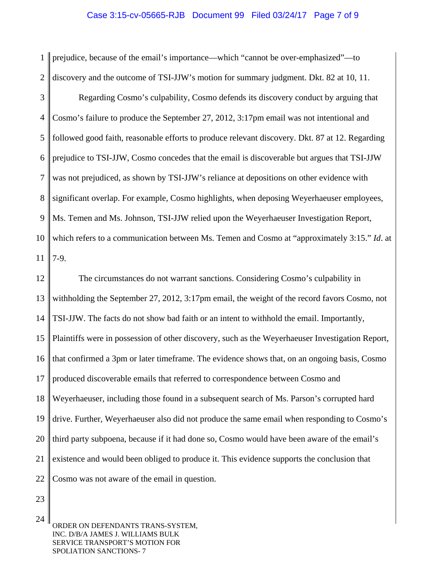#### Case 3:15-cv-05665-RJB Document 99 Filed 03/24/17 Page 7 of 9

1  $\mathcal{D}_{\mathcal{L}}$ prejudice, because of the email's importance—which "cannot be over-emphasized"—to discovery and the outcome of TSI-JJW's motion for summary judgment. Dkt. 82 at 10, 11.

3 4 5 6 7 8 9 10 11 Regarding Cosmo's culpability, Cosmo defends its discovery conduct by arguing that Cosmo's failure to produce the September 27, 2012, 3:17pm email was not intentional and followed good faith, reasonable efforts to produce relevant discovery. Dkt. 87 at 12. Regarding prejudice to TSI-JJW, Cosmo concedes that the email is discoverable but argues that TSI-JJW was not prejudiced, as shown by TSI-JJW's reliance at depositions on other evidence with significant overlap. For example, Cosmo highlights, when deposing Weyerhaeuser employees, Ms. Temen and Ms. Johnson, TSI-JJW relied upon the Weyerhaeuser Investigation Report, which refers to a communication between Ms. Temen and Cosmo at "approximately 3:15." *Id*. at 7-9.

12 13 14 15 16 17 18 19 20 21 22 The circumstances do not warrant sanctions. Considering Cosmo's culpability in withholding the September 27, 2012, 3:17pm email, the weight of the record favors Cosmo, not TSI-JJW. The facts do not show bad faith or an intent to withhold the email. Importantly, Plaintiffs were in possession of other discovery, such as the Weyerhaeuser Investigation Report, that confirmed a 3pm or later timeframe. The evidence shows that, on an ongoing basis, Cosmo produced discoverable emails that referred to correspondence between Cosmo and Weyerhaeuser, including those found in a subsequent search of Ms. Parson's corrupted hard drive. Further, Weyerhaeuser also did not produce the same email when responding to Cosmo's third party subpoena, because if it had done so, Cosmo would have been aware of the email's existence and would been obliged to produce it. This evidence supports the conclusion that Cosmo was not aware of the email in question.

23

24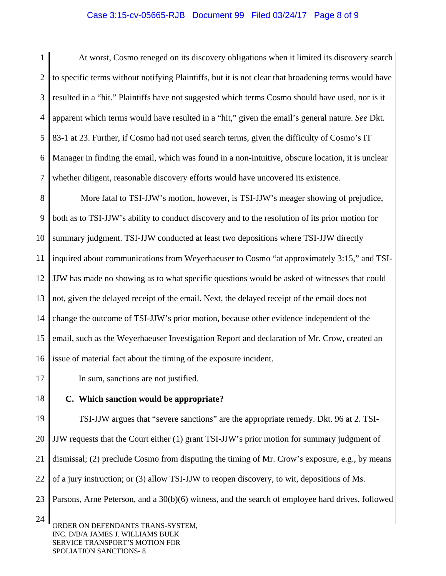#### Case 3:15-cv-05665-RJB Document 99 Filed 03/24/17 Page 8 of 9

1  $\mathcal{D}_{\mathcal{L}}$ 3 4 5 6 7 At worst, Cosmo reneged on its discovery obligations when it limited its discovery search to specific terms without notifying Plaintiffs, but it is not clear that broadening terms would have resulted in a "hit." Plaintiffs have not suggested which terms Cosmo should have used, nor is it apparent which terms would have resulted in a "hit," given the email's general nature. *See* Dkt. 83-1 at 23. Further, if Cosmo had not used search terms, given the difficulty of Cosmo's IT Manager in finding the email, which was found in a non-intuitive, obscure location, it is unclear whether diligent, reasonable discovery efforts would have uncovered its existence.

8 9 10 11 12 13 14 15 16 More fatal to TSI-JJW's motion, however, is TSI-JJW's meager showing of prejudice, both as to TSI-JJW's ability to conduct discovery and to the resolution of its prior motion for summary judgment. TSI-JJW conducted at least two depositions where TSI-JJW directly inquired about communications from Weyerhaeuser to Cosmo "at approximately 3:15," and TSI-JJW has made no showing as to what specific questions would be asked of witnesses that could not, given the delayed receipt of the email. Next, the delayed receipt of the email does not change the outcome of TSI-JJW's prior motion, because other evidence independent of the email, such as the Weyerhaeuser Investigation Report and declaration of Mr. Crow, created an issue of material fact about the timing of the exposure incident.

In sum, sanctions are not justified.

18

17

**C. Which sanction would be appropriate?** 

19 20 21 22 23 TSI-JJW argues that "severe sanctions" are the appropriate remedy. Dkt. 96 at 2. TSI-JJW requests that the Court either (1) grant TSI-JJW's prior motion for summary judgment of dismissal; (2) preclude Cosmo from disputing the timing of Mr. Crow's exposure, e.g., by means of a jury instruction; or (3) allow TSI-JJW to reopen discovery, to wit, depositions of Ms. Parsons, Arne Peterson, and a 30(b)(6) witness, and the search of employee hard drives, followed

<sup>24</sup>